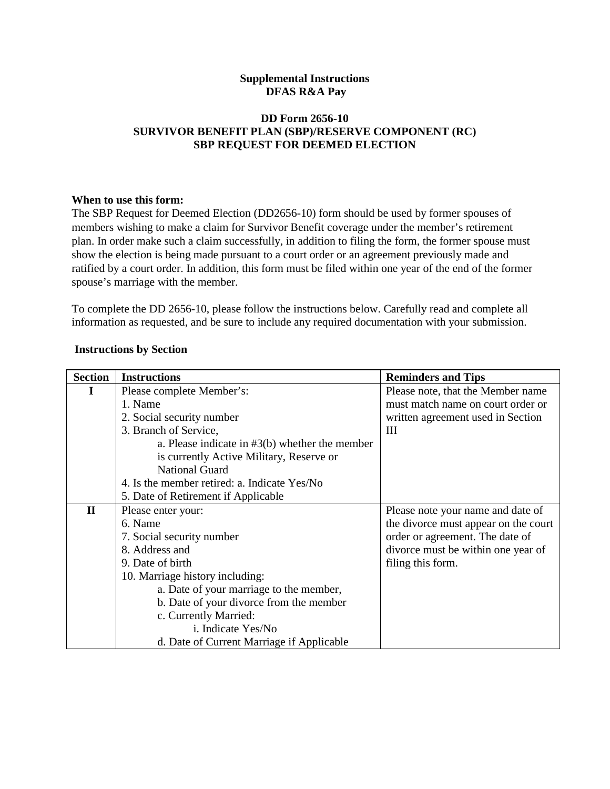# **Supplemental Instructions DFAS R&A Pay**

## **DD Form 2656-10 SURVIVOR BENEFIT PLAN (SBP)/RESERVE COMPONENT (RC) SBP REQUEST FOR DEEMED ELECTION**

### **When to use this form:**

The SBP Request for Deemed Election (DD2656-10) form should be used by former spouses of members wishing to make a claim for Survivor Benefit coverage under the member's retirement plan. In order make such a claim successfully, in addition to filing the form, the former spouse must show the election is being made pursuant to a court order or an agreement previously made and ratified by a court order. In addition, this form must be filed within one year of the end of the former spouse's marriage with the member.

To complete the DD 2656-10, please follow the instructions below. Carefully read and complete all information as requested, and be sure to include any required documentation with your submission.

| <b>Section</b> | <b>Instructions</b>                              | <b>Reminders and Tips</b>            |
|----------------|--------------------------------------------------|--------------------------------------|
| $\bf{l}$       | Please complete Member's:                        | Please note, that the Member name    |
|                | 1. Name                                          | must match name on court order or    |
|                | 2. Social security number                        | written agreement used in Section    |
|                | 3. Branch of Service,                            | Ш                                    |
|                | a. Please indicate in $#3(b)$ whether the member |                                      |
|                | is currently Active Military, Reserve or         |                                      |
|                | <b>National Guard</b>                            |                                      |
|                | 4. Is the member retired: a. Indicate Yes/No     |                                      |
|                | 5. Date of Retirement if Applicable              |                                      |
| $\mathbf{I}$   | Please enter your:                               | Please note your name and date of    |
|                | 6. Name                                          | the divorce must appear on the court |
|                | 7. Social security number                        | order or agreement. The date of      |
|                | 8. Address and                                   | divorce must be within one year of   |
|                | 9. Date of birth                                 | filing this form.                    |
|                | 10. Marriage history including:                  |                                      |
|                | a. Date of your marriage to the member,          |                                      |
|                | b. Date of your divorce from the member          |                                      |
|                | c. Currently Married:                            |                                      |
|                | i. Indicate Yes/No                               |                                      |
|                | d. Date of Current Marriage if Applicable        |                                      |

#### **Instructions by Section**